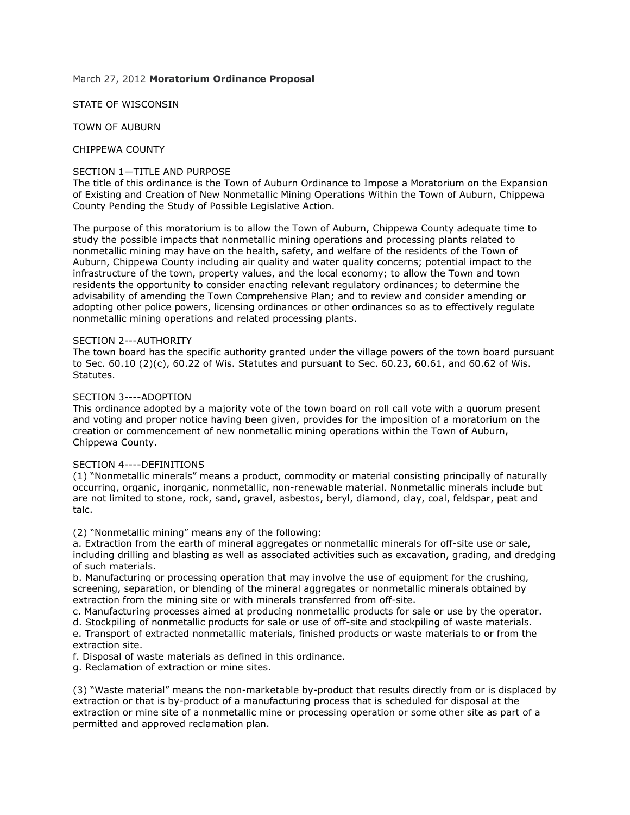# March 27, 2012 **Moratorium Ordinance Proposal**

STATE OF WISCONSIN

TOWN OF AUBURN

CHIPPEWA COUNTY

# SECTION 1—TITLE AND PURPOSE

The title of this ordinance is the Town of Auburn Ordinance to Impose a Moratorium on the Expansion of Existing and Creation of New Nonmetallic Mining Operations Within the Town of Auburn, Chippewa County Pending the Study of Possible Legislative Action.

The purpose of this moratorium is to allow the Town of Auburn, Chippewa County adequate time to study the possible impacts that nonmetallic mining operations and processing plants related to nonmetallic mining may have on the health, safety, and welfare of the residents of the Town of Auburn, Chippewa County including air quality and water quality concerns; potential impact to the infrastructure of the town, property values, and the local economy; to allow the Town and town residents the opportunity to consider enacting relevant regulatory ordinances; to determine the advisability of amending the Town Comprehensive Plan; and to review and consider amending or adopting other police powers, licensing ordinances or other ordinances so as to effectively regulate nonmetallic mining operations and related processing plants.

### SECTION 2---AUTHORITY

The town board has the specific authority granted under the village powers of the town board pursuant to Sec. 60.10 (2)(c), 60.22 of Wis. Statutes and pursuant to Sec. 60.23, 60.61, and 60.62 of Wis. Statutes.

# SECTION 3----ADOPTION

This ordinance adopted by a majority vote of the town board on roll call vote with a quorum present and voting and proper notice having been given, provides for the imposition of a moratorium on the creation or commencement of new nonmetallic mining operations within the Town of Auburn, Chippewa County.

### SECTION 4----DEFINITIONS

(1) "Nonmetallic minerals" means a product, commodity or material consisting principally of naturally occurring, organic, inorganic, nonmetallic, non-renewable material. Nonmetallic minerals include but are not limited to stone, rock, sand, gravel, asbestos, beryl, diamond, clay, coal, feldspar, peat and talc.

(2) "Nonmetallic mining" means any of the following:

a. Extraction from the earth of mineral aggregates or nonmetallic minerals for off-site use or sale, including drilling and blasting as well as associated activities such as excavation, grading, and dredging of such materials.

b. Manufacturing or processing operation that may involve the use of equipment for the crushing, screening, separation, or blending of the mineral aggregates or nonmetallic minerals obtained by extraction from the mining site or with minerals transferred from off-site.

c. Manufacturing processes aimed at producing nonmetallic products for sale or use by the operator.

d. Stockpiling of nonmetallic products for sale or use of off-site and stockpiling of waste materials. e. Transport of extracted nonmetallic materials, finished products or waste materials to or from the extraction site.

f. Disposal of waste materials as defined in this ordinance.

g. Reclamation of extraction or mine sites.

(3) "Waste material" means the non-marketable by-product that results directly from or is displaced by extraction or that is by-product of a manufacturing process that is scheduled for disposal at the extraction or mine site of a nonmetallic mine or processing operation or some other site as part of a permitted and approved reclamation plan.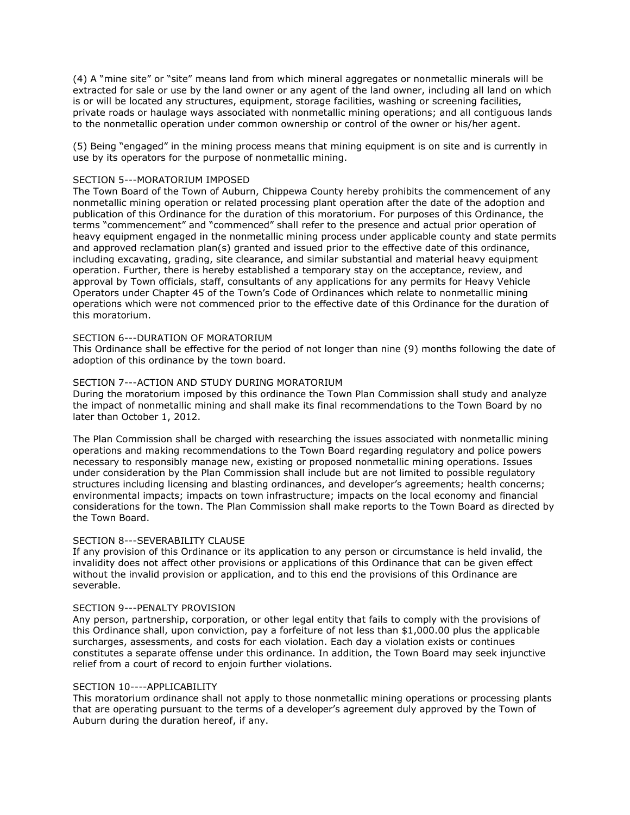(4) A "mine site" or "site" means land from which mineral aggregates or nonmetallic minerals will be extracted for sale or use by the land owner or any agent of the land owner, including all land on which is or will be located any structures, equipment, storage facilities, washing or screening facilities, private roads or haulage ways associated with nonmetallic mining operations; and all contiguous lands to the nonmetallic operation under common ownership or control of the owner or his/her agent.

(5) Being "engaged" in the mining process means that mining equipment is on site and is currently in use by its operators for the purpose of nonmetallic mining.

### SECTION 5---MORATORIUM IMPOSED

The Town Board of the Town of Auburn, Chippewa County hereby prohibits the commencement of any nonmetallic mining operation or related processing plant operation after the date of the adoption and publication of this Ordinance for the duration of this moratorium. For purposes of this Ordinance, the terms "commencement" and "commenced" shall refer to the presence and actual prior operation of heavy equipment engaged in the nonmetallic mining process under applicable county and state permits and approved reclamation plan(s) granted and issued prior to the effective date of this ordinance, including excavating, grading, site clearance, and similar substantial and material heavy equipment operation. Further, there is hereby established a temporary stay on the acceptance, review, and approval by Town officials, staff, consultants of any applications for any permits for Heavy Vehicle Operators under Chapter 45 of the Town's Code of Ordinances which relate to nonmetallic mining operations which were not commenced prior to the effective date of this Ordinance for the duration of this moratorium.

### SECTION 6---DURATION OF MORATORIUM

This Ordinance shall be effective for the period of not longer than nine (9) months following the date of adoption of this ordinance by the town board.

### SECTION 7---ACTION AND STUDY DURING MORATORIUM

During the moratorium imposed by this ordinance the Town Plan Commission shall study and analyze the impact of nonmetallic mining and shall make its final recommendations to the Town Board by no later than October 1, 2012.

The Plan Commission shall be charged with researching the issues associated with nonmetallic mining operations and making recommendations to the Town Board regarding regulatory and police powers necessary to responsibly manage new, existing or proposed nonmetallic mining operations. Issues under consideration by the Plan Commission shall include but are not limited to possible regulatory structures including licensing and blasting ordinances, and developer's agreements; health concerns; environmental impacts; impacts on town infrastructure; impacts on the local economy and financial considerations for the town. The Plan Commission shall make reports to the Town Board as directed by the Town Board.

### SECTION 8---SEVERABILITY CLAUSE

If any provision of this Ordinance or its application to any person or circumstance is held invalid, the invalidity does not affect other provisions or applications of this Ordinance that can be given effect without the invalid provision or application, and to this end the provisions of this Ordinance are severable.

#### SECTION 9---PENALTY PROVISION

Any person, partnership, corporation, or other legal entity that fails to comply with the provisions of this Ordinance shall, upon conviction, pay a forfeiture of not less than \$1,000.00 plus the applicable surcharges, assessments, and costs for each violation. Each day a violation exists or continues constitutes a separate offense under this ordinance. In addition, the Town Board may seek injunctive relief from a court of record to enjoin further violations.

## SECTION 10----APPLICABILITY

This moratorium ordinance shall not apply to those nonmetallic mining operations or processing plants that are operating pursuant to the terms of a developer's agreement duly approved by the Town of Auburn during the duration hereof, if any.